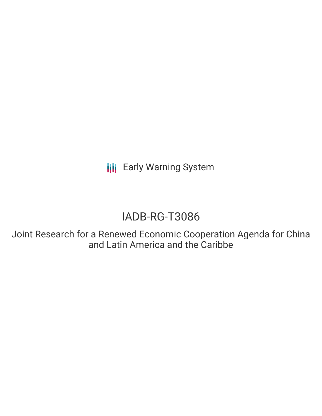**III** Early Warning System

# IADB-RG-T3086

Joint Research for a Renewed Economic Cooperation Agenda for China and Latin America and the Caribbe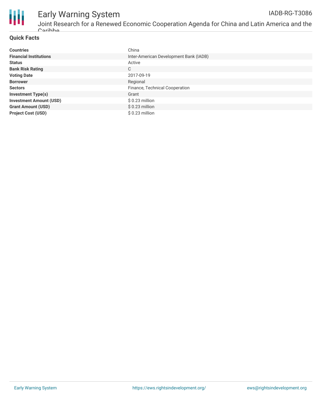

# Early Warning System

#### **Quick Facts**

| <b>Countries</b>               | China                                  |
|--------------------------------|----------------------------------------|
| <b>Financial Institutions</b>  | Inter-American Development Bank (IADB) |
| <b>Status</b>                  | Active                                 |
| <b>Bank Risk Rating</b>        | C                                      |
| <b>Voting Date</b>             | 2017-09-19                             |
| <b>Borrower</b>                | Regional                               |
| <b>Sectors</b>                 | Finance, Technical Cooperation         |
| <b>Investment Type(s)</b>      | Grant                                  |
| <b>Investment Amount (USD)</b> | $$0.23$ million                        |
| <b>Grant Amount (USD)</b>      | $$0.23$ million                        |
| <b>Project Cost (USD)</b>      | $$0.23$ million                        |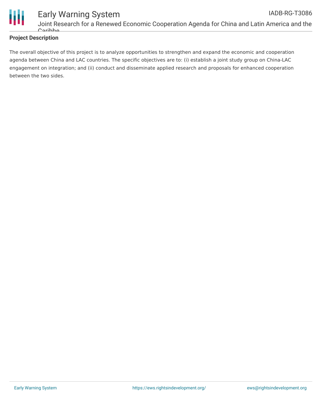

### **Project Description**

The overall objective of this project is to analyze opportunities to strengthen and expand the economic and cooperation agenda between China and LAC countries. The specific objectives are to: (i) establish a joint study group on China-LAC engagement on integration; and (ii) conduct and disseminate applied research and proposals for enhanced cooperation between the two sides.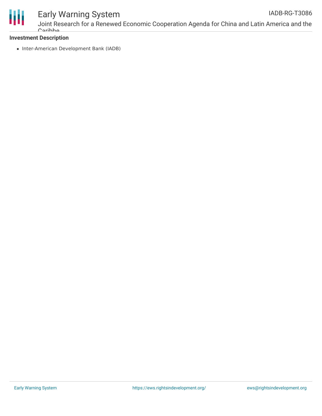

## Early Warning System

#### **Investment Description**

• Inter-American Development Bank (IADB)